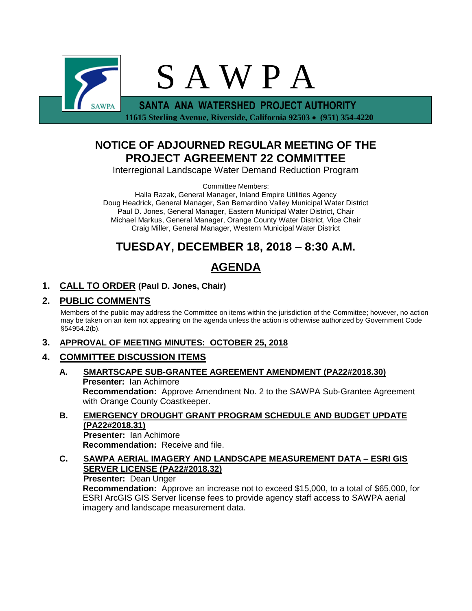

 **11615 Sterling Avenue, Riverside, California 92503** • **(951) 354-4220**

## **NOTICE OF ADJOURNED REGULAR MEETING OF THE PROJECT AGREEMENT 22 COMMITTEE**

Interregional Landscape Water Demand Reduction Program

Committee Members:

Halla Razak, General Manager, Inland Empire Utilities Agency Doug Headrick, General Manager, San Bernardino Valley Municipal Water District Paul D. Jones, General Manager, Eastern Municipal Water District, Chair Michael Markus, General Manager, Orange County Water District, Vice Chair Craig Miller, General Manager, Western Municipal Water District

## **TUESDAY, DECEMBER 18, 2018 – 8:30 A.M.**

# **AGENDA**

## **1. CALL TO ORDER (Paul D. Jones, Chair)**

### **2. PUBLIC COMMENTS**

Members of the public may address the Committee on items within the jurisdiction of the Committee; however, no action may be taken on an item not appearing on the agenda unless the action is otherwise authorized by Government Code §54954.2(b).

### **3. APPROVAL OF MEETING MINUTES: OCTOBER 25, 2018**

### **4. COMMITTEE DISCUSSION ITEMS**

- **A. SMARTSCAPE SUB-GRANTEE AGREEMENT AMENDMENT (PA22#2018.30) Presenter:** Ian Achimore **Recommendation:** Approve Amendment No. 2 to the SAWPA Sub-Grantee Agreement with Orange County Coastkeeper.
- **B. EMERGENCY DROUGHT GRANT PROGRAM SCHEDULE AND BUDGET UPDATE (PA22#2018.31) Presenter:** Ian Achimore

**Recommendation:** Receive and file.

**C. SAWPA AERIAL IMAGERY AND LANDSCAPE MEASUREMENT DATA – ESRI GIS SERVER LICENSE (PA22#2018.32) Presenter:** Dean Unger

**Recommendation:** Approve an increase not to exceed \$15,000, to a total of \$65,000, for ESRI ArcGIS GIS Server license fees to provide agency staff access to SAWPA aerial imagery and landscape measurement data.